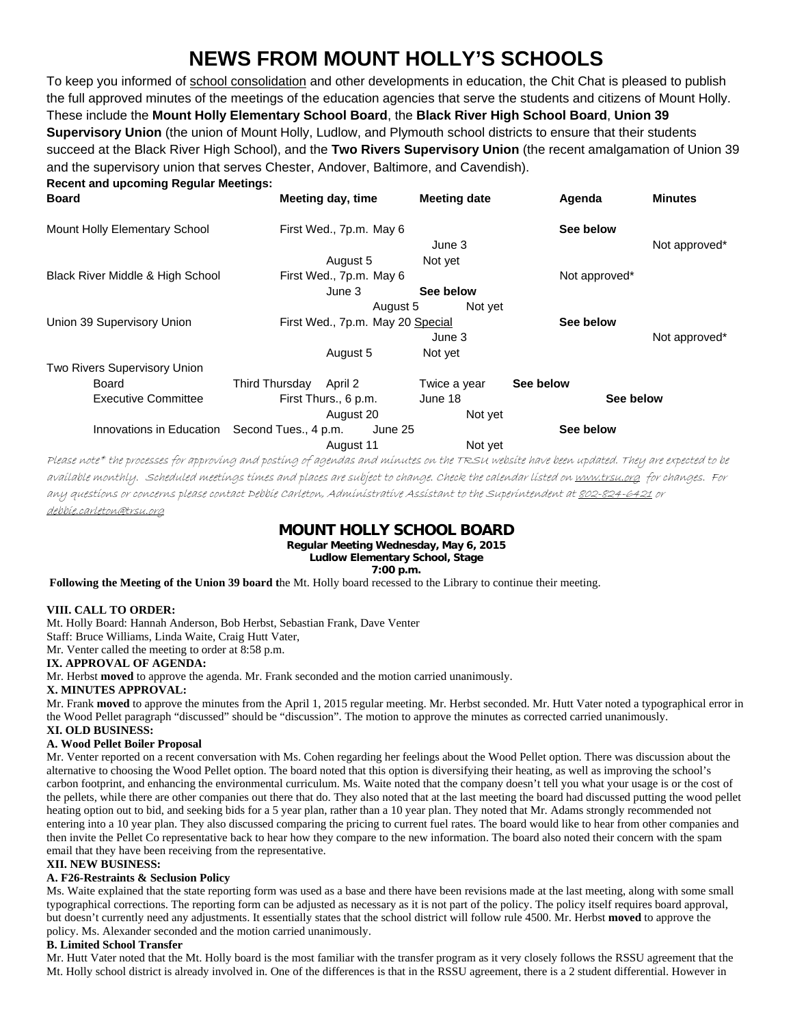# **NEWS FROM MOUNT HOLLY'S SCHOOLS**

To keep you informed of school consolidation and other developments in education, the Chit Chat is pleased to publish the full approved minutes of the meetings of the education agencies that serve the students and citizens of Mount Holly. These include the **Mount Holly Elementary School Board**, the **Black River High School Board**, **Union 39 Supervisory Union** (the union of Mount Holly, Ludlow, and Plymouth school districts to ensure that their students succeed at the Black River High School), and the **Two Rivers Supervisory Union** (the recent amalgamation of Union 39 and the supervisory union that serves Chester, Andover, Baltimore, and Cavendish). **Recent and upcoming Regular Meetings:**

| Meeting day, time                                           | <b>Meeting date</b> | Agenda                                                                                             | <b>Minutes</b> |
|-------------------------------------------------------------|---------------------|----------------------------------------------------------------------------------------------------|----------------|
|                                                             |                     | See below                                                                                          |                |
|                                                             | June 3              |                                                                                                    | Not approved*  |
| August 5                                                    | Not yet             |                                                                                                    |                |
|                                                             |                     | Not approved*                                                                                      |                |
| June 3                                                      | See below           |                                                                                                    |                |
|                                                             |                     |                                                                                                    |                |
|                                                             |                     | See below                                                                                          |                |
|                                                             | June 3              |                                                                                                    | Not approved*  |
| August 5                                                    | Not yet             |                                                                                                    |                |
|                                                             |                     |                                                                                                    |                |
| Third Thursday April 2                                      | Twice a year        | See below                                                                                          |                |
| First Thurs., 6 p.m.                                        | June 18             | See below                                                                                          |                |
| August 20                                                   | Not yet             |                                                                                                    |                |
| Innovations in Education<br>Second Tues., 4 p.m.<br>June 25 |                     | See below                                                                                          |                |
| August 11                                                   | Not yet             |                                                                                                    |                |
|                                                             |                     | First Wed., 7p.m. May 6<br>First Wed., 7p.m. May 6<br>August 5<br>First Wed., 7p.m. May 20 Special | Not yet        |

Please note\* the processes for approving and posting of agendas and minutes on the TRSU website have been updated. They are expected to be available monthly. Scheduled meetings times and places are subject to change. Check the calendar listed on <u>www.trsu.org</u> for changes. For any questions or concerns please contact Debbie Carleton, Administrative Assistant to the Superintendent at 802-824-6421 or debbie.carleton@trsu.org

# **MOUNT HOLLY SCHOOL BOARD**

**Regular Meeting Wednesday, May 6, 2015 Ludlow Elementary School, Stage**

**7:00 p.m.**

 **Following the Meeting of the Union 39 board t**he Mt. Holly board recessed to the Library to continue their meeting.

## **VIII. CALL TO ORDER:**

Mt. Holly Board: Hannah Anderson, Bob Herbst, Sebastian Frank, Dave Venter

Staff: Bruce Williams, Linda Waite, Craig Hutt Vater,

Mr. Venter called the meeting to order at 8:58 p.m.

## **IX. APPROVAL OF AGENDA:**

Mr. Herbst **moved** to approve the agenda. Mr. Frank seconded and the motion carried unanimously.

## **X. MINUTES APPROVAL:**

Mr. Frank **moved** to approve the minutes from the April 1, 2015 regular meeting. Mr. Herbst seconded. Mr. Hutt Vater noted a typographical error in the Wood Pellet paragraph "discussed" should be "discussion". The motion to approve the minutes as corrected carried unanimously. **XI. OLD BUSINESS:** 

## **A. Wood Pellet Boiler Proposal**

Mr. Venter reported on a recent conversation with Ms. Cohen regarding her feelings about the Wood Pellet option. There was discussion about the alternative to choosing the Wood Pellet option. The board noted that this option is diversifying their heating, as well as improving the school's carbon footprint, and enhancing the environmental curriculum. Ms. Waite noted that the company doesn't tell you what your usage is or the cost of the pellets, while there are other companies out there that do. They also noted that at the last meeting the board had discussed putting the wood pellet heating option out to bid, and seeking bids for a 5 year plan, rather than a 10 year plan. They noted that Mr. Adams strongly recommended not entering into a 10 year plan. They also discussed comparing the pricing to current fuel rates. The board would like to hear from other companies and then invite the Pellet Co representative back to hear how they compare to the new information. The board also noted their concern with the spam email that they have been receiving from the representative.

## **XII. NEW BUSINESS:**

## **A. F26-Restraints & Seclusion Policy**

Ms. Waite explained that the state reporting form was used as a base and there have been revisions made at the last meeting, along with some small typographical corrections. The reporting form can be adjusted as necessary as it is not part of the policy. The policy itself requires board approval, but doesn't currently need any adjustments. It essentially states that the school district will follow rule 4500. Mr. Herbst **moved** to approve the policy. Ms. Alexander seconded and the motion carried unanimously.

## **B. Limited School Transfer**

Mr. Hutt Vater noted that the Mt. Holly board is the most familiar with the transfer program as it very closely follows the RSSU agreement that the Mt. Holly school district is already involved in. One of the differences is that in the RSSU agreement, there is a 2 student differential. However in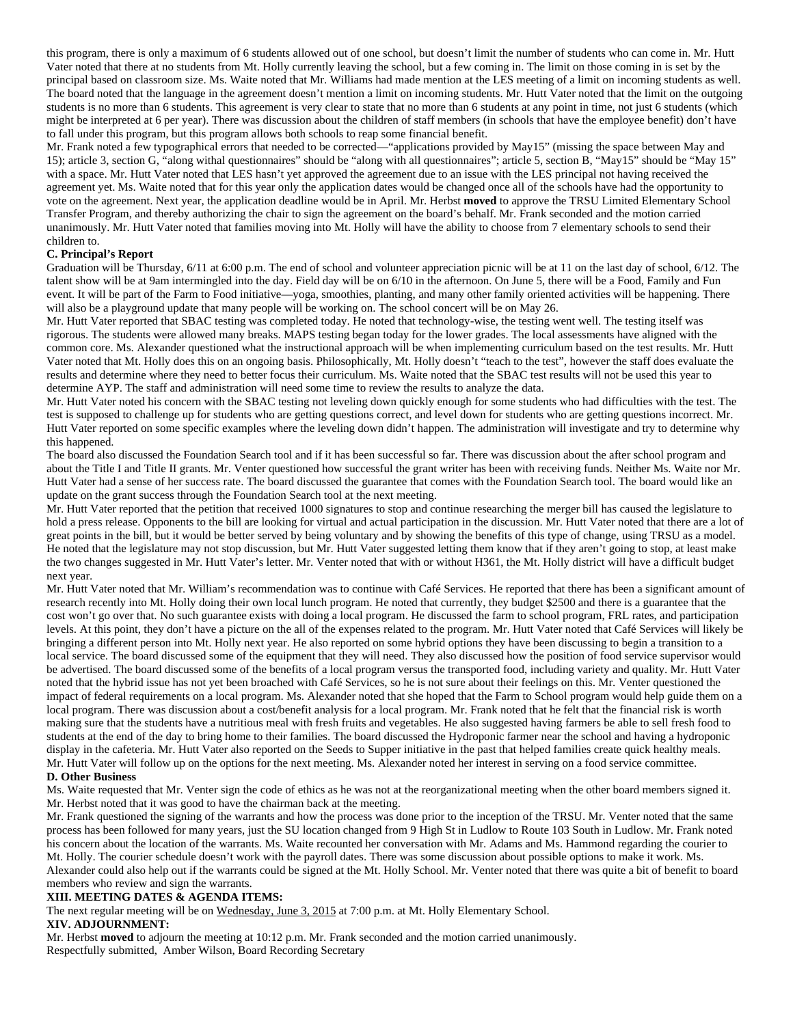this program, there is only a maximum of 6 students allowed out of one school, but doesn't limit the number of students who can come in. Mr. Hutt Vater noted that there at no students from Mt. Holly currently leaving the school, but a few coming in. The limit on those coming in is set by the principal based on classroom size. Ms. Waite noted that Mr. Williams had made mention at the LES meeting of a limit on incoming students as well. The board noted that the language in the agreement doesn't mention a limit on incoming students. Mr. Hutt Vater noted that the limit on the outgoing students is no more than 6 students. This agreement is very clear to state that no more than 6 students at any point in time, not just 6 students (which might be interpreted at 6 per year). There was discussion about the children of staff members (in schools that have the employee benefit) don't have to fall under this program, but this program allows both schools to reap some financial benefit.

Mr. Frank noted a few typographical errors that needed to be corrected—"applications provided by May15" (missing the space between May and 15); article 3, section G, "along withal questionnaires" should be "along with all questionnaires"; article 5, section B, "May15" should be "May 15" with a space. Mr. Hutt Vater noted that LES hasn't yet approved the agreement due to an issue with the LES principal not having received the agreement yet. Ms. Waite noted that for this year only the application dates would be changed once all of the schools have had the opportunity to vote on the agreement. Next year, the application deadline would be in April. Mr. Herbst **moved** to approve the TRSU Limited Elementary School Transfer Program, and thereby authorizing the chair to sign the agreement on the board's behalf. Mr. Frank seconded and the motion carried unanimously. Mr. Hutt Vater noted that families moving into Mt. Holly will have the ability to choose from 7 elementary schools to send their children to.

## **C. Principal's Report**

Graduation will be Thursday, 6/11 at 6:00 p.m. The end of school and volunteer appreciation picnic will be at 11 on the last day of school, 6/12. The talent show will be at 9am intermingled into the day. Field day will be on 6/10 in the afternoon. On June 5, there will be a Food, Family and Fun event. It will be part of the Farm to Food initiative—yoga, smoothies, planting, and many other family oriented activities will be happening. There will also be a playground update that many people will be working on. The school concert will be on May 26.

Mr. Hutt Vater reported that SBAC testing was completed today. He noted that technology-wise, the testing went well. The testing itself was rigorous. The students were allowed many breaks. MAPS testing began today for the lower grades. The local assessments have aligned with the common core. Ms. Alexander questioned what the instructional approach will be when implementing curriculum based on the test results. Mr. Hutt Vater noted that Mt. Holly does this on an ongoing basis. Philosophically, Mt. Holly doesn't "teach to the test", however the staff does evaluate the results and determine where they need to better focus their curriculum. Ms. Waite noted that the SBAC test results will not be used this year to determine AYP. The staff and administration will need some time to review the results to analyze the data.

Mr. Hutt Vater noted his concern with the SBAC testing not leveling down quickly enough for some students who had difficulties with the test. The test is supposed to challenge up for students who are getting questions correct, and level down for students who are getting questions incorrect. Mr. Hutt Vater reported on some specific examples where the leveling down didn't happen. The administration will investigate and try to determine why this happened.

The board also discussed the Foundation Search tool and if it has been successful so far. There was discussion about the after school program and about the Title I and Title II grants. Mr. Venter questioned how successful the grant writer has been with receiving funds. Neither Ms. Waite nor Mr. Hutt Vater had a sense of her success rate. The board discussed the guarantee that comes with the Foundation Search tool. The board would like an update on the grant success through the Foundation Search tool at the next meeting.

Mr. Hutt Vater reported that the petition that received 1000 signatures to stop and continue researching the merger bill has caused the legislature to hold a press release. Opponents to the bill are looking for virtual and actual participation in the discussion. Mr. Hutt Vater noted that there are a lot of great points in the bill, but it would be better served by being voluntary and by showing the benefits of this type of change, using TRSU as a model. He noted that the legislature may not stop discussion, but Mr. Hutt Vater suggested letting them know that if they aren't going to stop, at least make the two changes suggested in Mr. Hutt Vater's letter. Mr. Venter noted that with or without H361, the Mt. Holly district will have a difficult budget next year.

Mr. Hutt Vater noted that Mr. William's recommendation was to continue with Café Services. He reported that there has been a significant amount of research recently into Mt. Holly doing their own local lunch program. He noted that currently, they budget \$2500 and there is a guarantee that the cost won't go over that. No such guarantee exists with doing a local program. He discussed the farm to school program, FRL rates, and participation levels. At this point, they don't have a picture on the all of the expenses related to the program. Mr. Hutt Vater noted that Café Services will likely be bringing a different person into Mt. Holly next year. He also reported on some hybrid options they have been discussing to begin a transition to a local service. The board discussed some of the equipment that they will need. They also discussed how the position of food service supervisor would be advertised. The board discussed some of the benefits of a local program versus the transported food, including variety and quality. Mr. Hutt Vater noted that the hybrid issue has not yet been broached with Café Services, so he is not sure about their feelings on this. Mr. Venter questioned the impact of federal requirements on a local program. Ms. Alexander noted that she hoped that the Farm to School program would help guide them on a local program. There was discussion about a cost/benefit analysis for a local program. Mr. Frank noted that he felt that the financial risk is worth making sure that the students have a nutritious meal with fresh fruits and vegetables. He also suggested having farmers be able to sell fresh food to students at the end of the day to bring home to their families. The board discussed the Hydroponic farmer near the school and having a hydroponic display in the cafeteria. Mr. Hutt Vater also reported on the Seeds to Supper initiative in the past that helped families create quick healthy meals. Mr. Hutt Vater will follow up on the options for the next meeting. Ms. Alexander noted her interest in serving on a food service committee.

## **D. Other Business**

Ms. Waite requested that Mr. Venter sign the code of ethics as he was not at the reorganizational meeting when the other board members signed it. Mr. Herbst noted that it was good to have the chairman back at the meeting.

Mr. Frank questioned the signing of the warrants and how the process was done prior to the inception of the TRSU. Mr. Venter noted that the same process has been followed for many years, just the SU location changed from 9 High St in Ludlow to Route 103 South in Ludlow. Mr. Frank noted his concern about the location of the warrants. Ms. Waite recounted her conversation with Mr. Adams and Ms. Hammond regarding the courier to Mt. Holly. The courier schedule doesn't work with the payroll dates. There was some discussion about possible options to make it work. Ms. Alexander could also help out if the warrants could be signed at the Mt. Holly School. Mr. Venter noted that there was quite a bit of benefit to board members who review and sign the warrants.

#### **XIII. MEETING DATES & AGENDA ITEMS:**

The next regular meeting will be on Wednesday, June 3, 2015 at 7:00 p.m. at Mt. Holly Elementary School.

#### **XIV. ADJOURNMENT:**

Mr. Herbst **moved** to adjourn the meeting at 10:12 p.m. Mr. Frank seconded and the motion carried unanimously. Respectfully submitted, Amber Wilson, Board Recording Secretary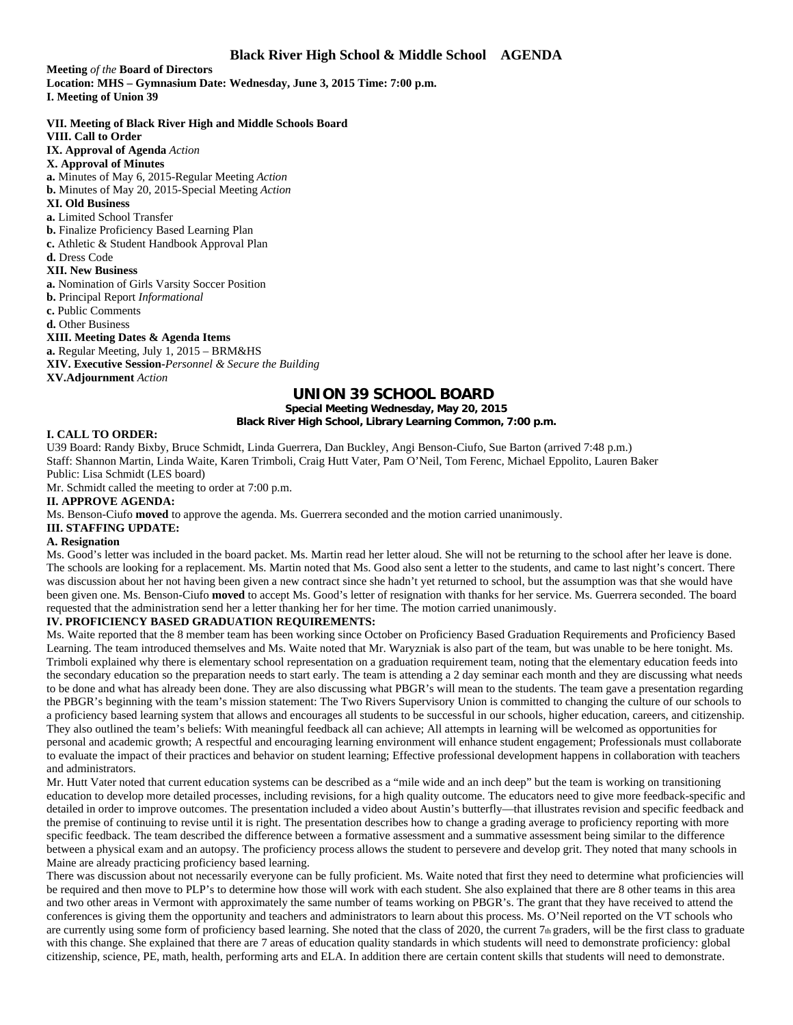**Meeting** *of the* **Board of Directors Location: MHS – Gymnasium Date: Wednesday, June 3, 2015 Time: 7:00 p.m. I. Meeting of Union 39** 

**VII. Meeting of Black River High and Middle Schools Board VIII. Call to Order IX. Approval of Agenda** *Action*  **X. Approval of Minutes a.** Minutes of May 6, 2015-Regular Meeting *Action*  **b.** Minutes of May 20, 2015-Special Meeting *Action*  **XI. Old Business a.** Limited School Transfer **b.** Finalize Proficiency Based Learning Plan **c.** Athletic & Student Handbook Approval Plan **d.** Dress Code **XII. New Business a.** Nomination of Girls Varsity Soccer Position **b.** Principal Report *Informational*  **c.** Public Comments **d.** Other Business **XIII. Meeting Dates & Agenda Items a.** Regular Meeting, July 1, 2015 – BRM&HS **XIV. Executive Session-***Personnel & Secure the Building*  **XV.Adjournment** *Action* 

## **UNION 39 SCHOOL BOARD**

**Special Meeting Wednesday, May 20, 2015 Black River High School, Library Learning Common, 7:00 p.m.**

## **I. CALL TO ORDER:**

U39 Board: Randy Bixby, Bruce Schmidt, Linda Guerrera, Dan Buckley, Angi Benson-Ciufo, Sue Barton (arrived 7:48 p.m.) Staff: Shannon Martin, Linda Waite, Karen Trimboli, Craig Hutt Vater, Pam O'Neil, Tom Ferenc, Michael Eppolito, Lauren Baker Public: Lisa Schmidt (LES board)

Mr. Schmidt called the meeting to order at 7:00 p.m.

## **II. APPROVE AGENDA:**

Ms. Benson-Ciufo **moved** to approve the agenda. Ms. Guerrera seconded and the motion carried unanimously.

**III. STAFFING UPDATE:** 

## **A. Resignation**

Ms. Good's letter was included in the board packet. Ms. Martin read her letter aloud. She will not be returning to the school after her leave is done. The schools are looking for a replacement. Ms. Martin noted that Ms. Good also sent a letter to the students, and came to last night's concert. There was discussion about her not having been given a new contract since she hadn't yet returned to school, but the assumption was that she would have been given one. Ms. Benson-Ciufo **moved** to accept Ms. Good's letter of resignation with thanks for her service. Ms. Guerrera seconded. The board requested that the administration send her a letter thanking her for her time. The motion carried unanimously.

#### **IV. PROFICIENCY BASED GRADUATION REQUIREMENTS:**

Ms. Waite reported that the 8 member team has been working since October on Proficiency Based Graduation Requirements and Proficiency Based Learning. The team introduced themselves and Ms. Waite noted that Mr. Waryzniak is also part of the team, but was unable to be here tonight. Ms. Trimboli explained why there is elementary school representation on a graduation requirement team, noting that the elementary education feeds into the secondary education so the preparation needs to start early. The team is attending a 2 day seminar each month and they are discussing what needs to be done and what has already been done. They are also discussing what PBGR's will mean to the students. The team gave a presentation regarding the PBGR's beginning with the team's mission statement: The Two Rivers Supervisory Union is committed to changing the culture of our schools to a proficiency based learning system that allows and encourages all students to be successful in our schools, higher education, careers, and citizenship. They also outlined the team's beliefs: With meaningful feedback all can achieve; All attempts in learning will be welcomed as opportunities for personal and academic growth; A respectful and encouraging learning environment will enhance student engagement; Professionals must collaborate to evaluate the impact of their practices and behavior on student learning; Effective professional development happens in collaboration with teachers and administrators.

Mr. Hutt Vater noted that current education systems can be described as a "mile wide and an inch deep" but the team is working on transitioning education to develop more detailed processes, including revisions, for a high quality outcome. The educators need to give more feedback-specific and detailed in order to improve outcomes. The presentation included a video about Austin's butterfly—that illustrates revision and specific feedback and the premise of continuing to revise until it is right. The presentation describes how to change a grading average to proficiency reporting with more specific feedback. The team described the difference between a formative assessment and a summative assessment being similar to the difference between a physical exam and an autopsy. The proficiency process allows the student to persevere and develop grit. They noted that many schools in Maine are already practicing proficiency based learning.

There was discussion about not necessarily everyone can be fully proficient. Ms. Waite noted that first they need to determine what proficiencies will be required and then move to PLP's to determine how those will work with each student. She also explained that there are 8 other teams in this area and two other areas in Vermont with approximately the same number of teams working on PBGR's. The grant that they have received to attend the conferences is giving them the opportunity and teachers and administrators to learn about this process. Ms. O'Neil reported on the VT schools who are currently using some form of proficiency based learning. She noted that the class of 2020, the current 7th graders, will be the first class to graduate with this change. She explained that there are 7 areas of education quality standards in which students will need to demonstrate proficiency: global citizenship, science, PE, math, health, performing arts and ELA. In addition there are certain content skills that students will need to demonstrate.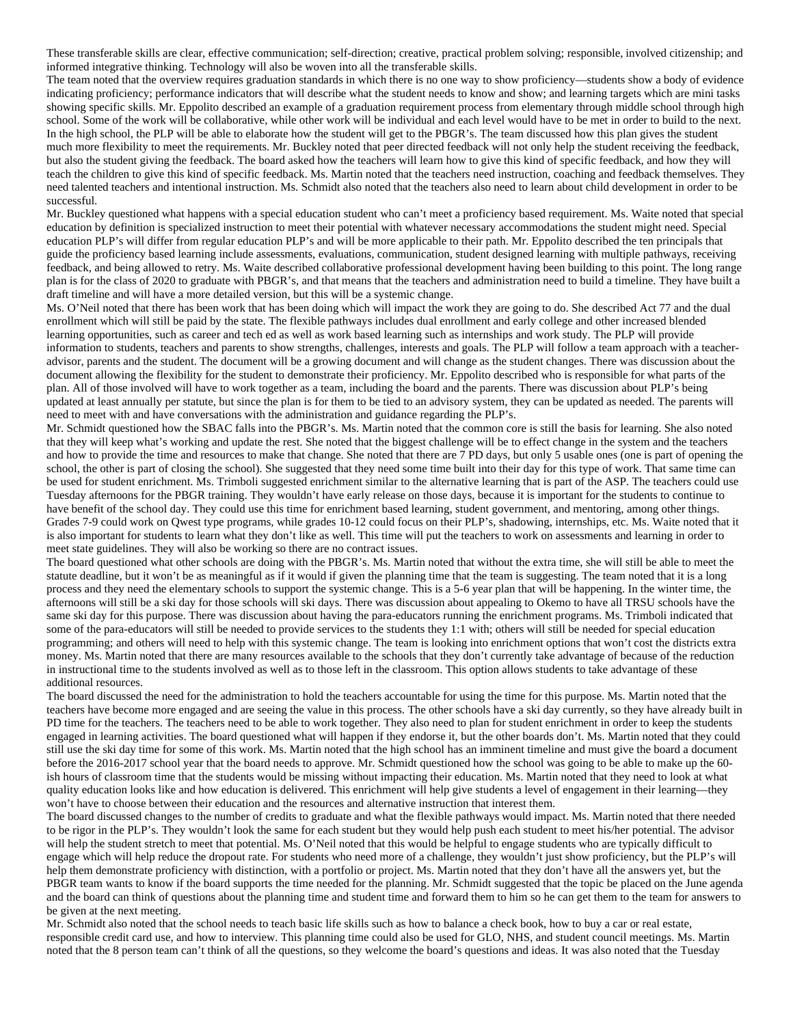These transferable skills are clear, effective communication; self-direction; creative, practical problem solving; responsible, involved citizenship; and informed integrative thinking. Technology will also be woven into all the transferable skills.

The team noted that the overview requires graduation standards in which there is no one way to show proficiency—students show a body of evidence indicating proficiency; performance indicators that will describe what the student needs to know and show; and learning targets which are mini tasks showing specific skills. Mr. Eppolito described an example of a graduation requirement process from elementary through middle school through high school. Some of the work will be collaborative, while other work will be individual and each level would have to be met in order to build to the next. In the high school, the PLP will be able to elaborate how the student will get to the PBGR's. The team discussed how this plan gives the student much more flexibility to meet the requirements. Mr. Buckley noted that peer directed feedback will not only help the student receiving the feedback, but also the student giving the feedback. The board asked how the teachers will learn how to give this kind of specific feedback, and how they will teach the children to give this kind of specific feedback. Ms. Martin noted that the teachers need instruction, coaching and feedback themselves. They need talented teachers and intentional instruction. Ms. Schmidt also noted that the teachers also need to learn about child development in order to be successful.

Mr. Buckley questioned what happens with a special education student who can't meet a proficiency based requirement. Ms. Waite noted that special education by definition is specialized instruction to meet their potential with whatever necessary accommodations the student might need. Special education PLP's will differ from regular education PLP's and will be more applicable to their path. Mr. Eppolito described the ten principals that guide the proficiency based learning include assessments, evaluations, communication, student designed learning with multiple pathways, receiving feedback, and being allowed to retry. Ms. Waite described collaborative professional development having been building to this point. The long range plan is for the class of 2020 to graduate with PBGR's, and that means that the teachers and administration need to build a timeline. They have built a draft timeline and will have a more detailed version, but this will be a systemic change.

Ms. O'Neil noted that there has been work that has been doing which will impact the work they are going to do. She described Act 77 and the dual enrollment which will still be paid by the state. The flexible pathways includes dual enrollment and early college and other increased blended learning opportunities, such as career and tech ed as well as work based learning such as internships and work study. The PLP will provide information to students, teachers and parents to show strengths, challenges, interests and goals. The PLP will follow a team approach with a teacheradvisor, parents and the student. The document will be a growing document and will change as the student changes. There was discussion about the document allowing the flexibility for the student to demonstrate their proficiency. Mr. Eppolito described who is responsible for what parts of the plan. All of those involved will have to work together as a team, including the board and the parents. There was discussion about PLP's being updated at least annually per statute, but since the plan is for them to be tied to an advisory system, they can be updated as needed. The parents will need to meet with and have conversations with the administration and guidance regarding the PLP's.

Mr. Schmidt questioned how the SBAC falls into the PBGR's. Ms. Martin noted that the common core is still the basis for learning. She also noted that they will keep what's working and update the rest. She noted that the biggest challenge will be to effect change in the system and the teachers and how to provide the time and resources to make that change. She noted that there are 7 PD days, but only 5 usable ones (one is part of opening the school, the other is part of closing the school). She suggested that they need some time built into their day for this type of work. That same time can be used for student enrichment. Ms. Trimboli suggested enrichment similar to the alternative learning that is part of the ASP. The teachers could use Tuesday afternoons for the PBGR training. They wouldn't have early release on those days, because it is important for the students to continue to have benefit of the school day. They could use this time for enrichment based learning, student government, and mentoring, among other things. Grades 7-9 could work on Qwest type programs, while grades 10-12 could focus on their PLP's, shadowing, internships, etc. Ms. Waite noted that it is also important for students to learn what they don't like as well. This time will put the teachers to work on assessments and learning in order to meet state guidelines. They will also be working so there are no contract issues.

The board questioned what other schools are doing with the PBGR's. Ms. Martin noted that without the extra time, she will still be able to meet the statute deadline, but it won't be as meaningful as if it would if given the planning time that the team is suggesting. The team noted that it is a long process and they need the elementary schools to support the systemic change. This is a 5-6 year plan that will be happening. In the winter time, the afternoons will still be a ski day for those schools will ski days. There was discussion about appealing to Okemo to have all TRSU schools have the same ski day for this purpose. There was discussion about having the para-educators running the enrichment programs. Ms. Trimboli indicated that some of the para-educators will still be needed to provide services to the students they 1:1 with; others will still be needed for special education programming; and others will need to help with this systemic change. The team is looking into enrichment options that won't cost the districts extra money. Ms. Martin noted that there are many resources available to the schools that they don't currently take advantage of because of the reduction in instructional time to the students involved as well as to those left in the classroom. This option allows students to take advantage of these additional resources.

The board discussed the need for the administration to hold the teachers accountable for using the time for this purpose. Ms. Martin noted that the teachers have become more engaged and are seeing the value in this process. The other schools have a ski day currently, so they have already built in PD time for the teachers. The teachers need to be able to work together. They also need to plan for student enrichment in order to keep the students engaged in learning activities. The board questioned what will happen if they endorse it, but the other boards don't. Ms. Martin noted that they could still use the ski day time for some of this work. Ms. Martin noted that the high school has an imminent timeline and must give the board a document before the 2016-2017 school year that the board needs to approve. Mr. Schmidt questioned how the school was going to be able to make up the 60 ish hours of classroom time that the students would be missing without impacting their education. Ms. Martin noted that they need to look at what quality education looks like and how education is delivered. This enrichment will help give students a level of engagement in their learning—they won't have to choose between their education and the resources and alternative instruction that interest them.

The board discussed changes to the number of credits to graduate and what the flexible pathways would impact. Ms. Martin noted that there needed to be rigor in the PLP's. They wouldn't look the same for each student but they would help push each student to meet his/her potential. The advisor will help the student stretch to meet that potential. Ms. O'Neil noted that this would be helpful to engage students who are typically difficult to engage which will help reduce the dropout rate. For students who need more of a challenge, they wouldn't just show proficiency, but the PLP's will help them demonstrate proficiency with distinction, with a portfolio or project. Ms. Martin noted that they don't have all the answers yet, but the PBGR team wants to know if the board supports the time needed for the planning. Mr. Schmidt suggested that the topic be placed on the June agenda and the board can think of questions about the planning time and student time and forward them to him so he can get them to the team for answers to be given at the next meeting.

Mr. Schmidt also noted that the school needs to teach basic life skills such as how to balance a check book, how to buy a car or real estate, responsible credit card use, and how to interview. This planning time could also be used for GLO, NHS, and student council meetings. Ms. Martin noted that the 8 person team can't think of all the questions, so they welcome the board's questions and ideas. It was also noted that the Tuesday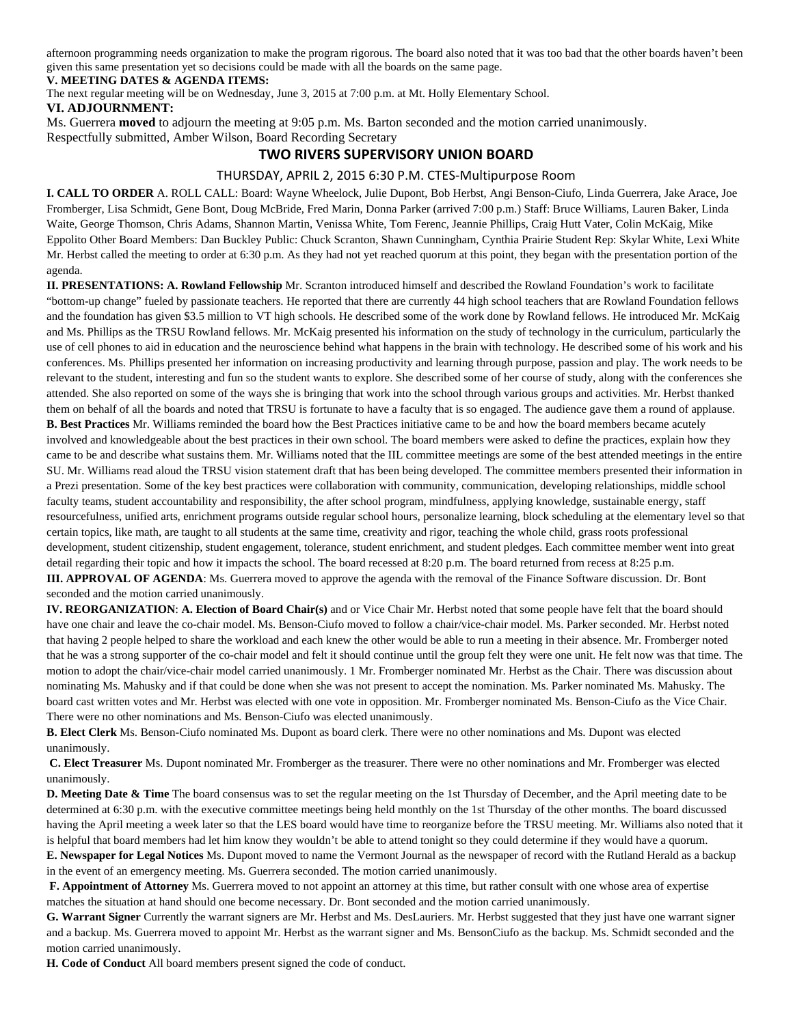afternoon programming needs organization to make the program rigorous. The board also noted that it was too bad that the other boards haven't been given this same presentation yet so decisions could be made with all the boards on the same page.

## **V. MEETING DATES & AGENDA ITEMS:**

The next regular meeting will be on Wednesday, June 3, 2015 at 7:00 p.m. at Mt. Holly Elementary School.

## **VI. ADJOURNMENT:**

Ms. Guerrera **moved** to adjourn the meeting at 9:05 p.m. Ms. Barton seconded and the motion carried unanimously.

Respectfully submitted, Amber Wilson, Board Recording Secretary

## **TWO RIVERS SUPERVISORY UNION BOARD**

## THURSDAY, APRIL 2, 2015 6:30 P.M. CTES‐Multipurpose Room

**I. CALL TO ORDER** A. ROLL CALL: Board: Wayne Wheelock, Julie Dupont, Bob Herbst, Angi Benson-Ciufo, Linda Guerrera, Jake Arace, Joe Fromberger, Lisa Schmidt, Gene Bont, Doug McBride, Fred Marin, Donna Parker (arrived 7:00 p.m.) Staff: Bruce Williams, Lauren Baker, Linda Waite, George Thomson, Chris Adams, Shannon Martin, Venissa White, Tom Ferenc, Jeannie Phillips, Craig Hutt Vater, Colin McKaig, Mike Eppolito Other Board Members: Dan Buckley Public: Chuck Scranton, Shawn Cunningham, Cynthia Prairie Student Rep: Skylar White, Lexi White Mr. Herbst called the meeting to order at 6:30 p.m. As they had not yet reached quorum at this point, they began with the presentation portion of the agenda.

**II. PRESENTATIONS: A. Rowland Fellowship** Mr. Scranton introduced himself and described the Rowland Foundation's work to facilitate "bottom-up change" fueled by passionate teachers. He reported that there are currently 44 high school teachers that are Rowland Foundation fellows and the foundation has given \$3.5 million to VT high schools. He described some of the work done by Rowland fellows. He introduced Mr. McKaig and Ms. Phillips as the TRSU Rowland fellows. Mr. McKaig presented his information on the study of technology in the curriculum, particularly the use of cell phones to aid in education and the neuroscience behind what happens in the brain with technology. He described some of his work and his conferences. Ms. Phillips presented her information on increasing productivity and learning through purpose, passion and play. The work needs to be relevant to the student, interesting and fun so the student wants to explore. She described some of her course of study, along with the conferences she attended. She also reported on some of the ways she is bringing that work into the school through various groups and activities. Mr. Herbst thanked them on behalf of all the boards and noted that TRSU is fortunate to have a faculty that is so engaged. The audience gave them a round of applause. **B. Best Practices** Mr. Williams reminded the board how the Best Practices initiative came to be and how the board members became acutely involved and knowledgeable about the best practices in their own school. The board members were asked to define the practices, explain how they came to be and describe what sustains them. Mr. Williams noted that the IIL committee meetings are some of the best attended meetings in the entire SU. Mr. Williams read aloud the TRSU vision statement draft that has been being developed. The committee members presented their information in a Prezi presentation. Some of the key best practices were collaboration with community, communication, developing relationships, middle school faculty teams, student accountability and responsibility, the after school program, mindfulness, applying knowledge, sustainable energy, staff resourcefulness, unified arts, enrichment programs outside regular school hours, personalize learning, block scheduling at the elementary level so that certain topics, like math, are taught to all students at the same time, creativity and rigor, teaching the whole child, grass roots professional development, student citizenship, student engagement, tolerance, student enrichment, and student pledges. Each committee member went into great detail regarding their topic and how it impacts the school. The board recessed at 8:20 p.m. The board returned from recess at 8:25 p.m. **III. APPROVAL OF AGENDA**: Ms. Guerrera moved to approve the agenda with the removal of the Finance Software discussion. Dr. Bont seconded and the motion carried unanimously.

**IV. REORGANIZATION**: **A. Election of Board Chair(s)** and or Vice Chair Mr. Herbst noted that some people have felt that the board should have one chair and leave the co-chair model. Ms. Benson-Ciufo moved to follow a chair/vice-chair model. Ms. Parker seconded. Mr. Herbst noted that having 2 people helped to share the workload and each knew the other would be able to run a meeting in their absence. Mr. Fromberger noted that he was a strong supporter of the co-chair model and felt it should continue until the group felt they were one unit. He felt now was that time. The motion to adopt the chair/vice-chair model carried unanimously. 1 Mr. Fromberger nominated Mr. Herbst as the Chair. There was discussion about nominating Ms. Mahusky and if that could be done when she was not present to accept the nomination. Ms. Parker nominated Ms. Mahusky. The board cast written votes and Mr. Herbst was elected with one vote in opposition. Mr. Fromberger nominated Ms. Benson-Ciufo as the Vice Chair. There were no other nominations and Ms. Benson-Ciufo was elected unanimously.

**B. Elect Clerk** Ms. Benson-Ciufo nominated Ms. Dupont as board clerk. There were no other nominations and Ms. Dupont was elected unanimously.

**C. Elect Treasurer** Ms. Dupont nominated Mr. Fromberger as the treasurer. There were no other nominations and Mr. Fromberger was elected unanimously.

**D. Meeting Date & Time** The board consensus was to set the regular meeting on the 1st Thursday of December, and the April meeting date to be determined at 6:30 p.m. with the executive committee meetings being held monthly on the 1st Thursday of the other months. The board discussed having the April meeting a week later so that the LES board would have time to reorganize before the TRSU meeting. Mr. Williams also noted that it is helpful that board members had let him know they wouldn't be able to attend tonight so they could determine if they would have a quorum. **E. Newspaper for Legal Notices** Ms. Dupont moved to name the Vermont Journal as the newspaper of record with the Rutland Herald as a backup in the event of an emergency meeting. Ms. Guerrera seconded. The motion carried unanimously.

**F. Appointment of Attorney** Ms. Guerrera moved to not appoint an attorney at this time, but rather consult with one whose area of expertise matches the situation at hand should one become necessary. Dr. Bont seconded and the motion carried unanimously.

**G. Warrant Signer** Currently the warrant signers are Mr. Herbst and Ms. DesLauriers. Mr. Herbst suggested that they just have one warrant signer and a backup. Ms. Guerrera moved to appoint Mr. Herbst as the warrant signer and Ms. BensonCiufo as the backup. Ms. Schmidt seconded and the motion carried unanimously.

**H. Code of Conduct** All board members present signed the code of conduct.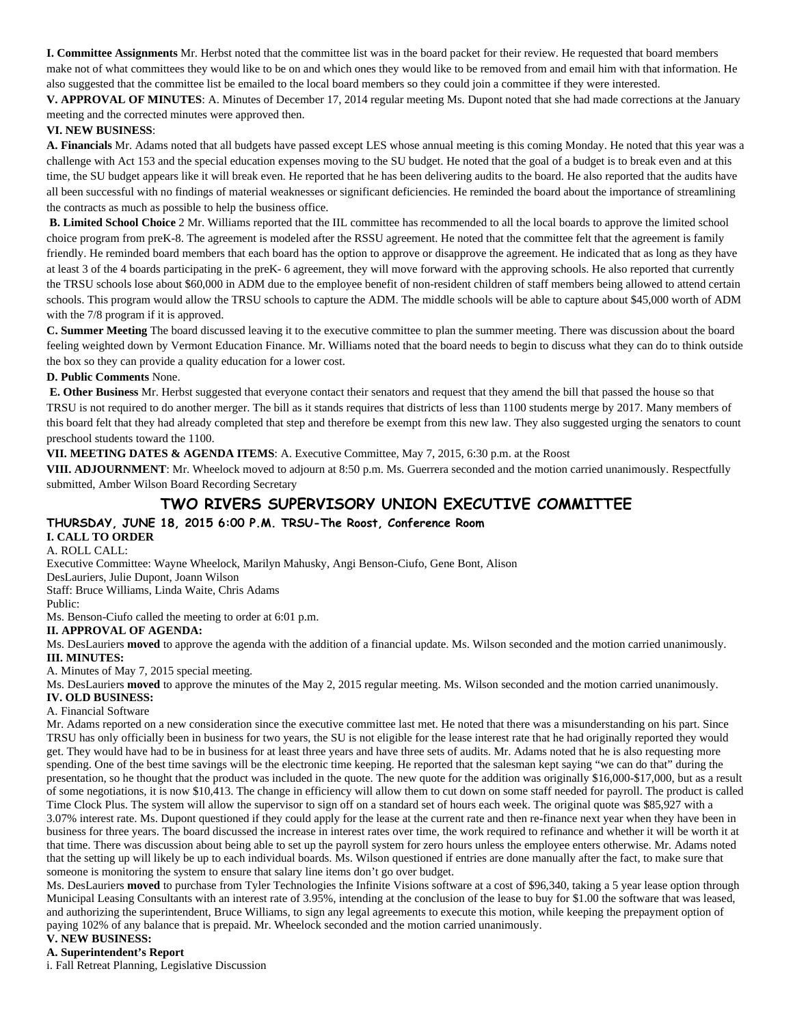**I. Committee Assignments** Mr. Herbst noted that the committee list was in the board packet for their review. He requested that board members make not of what committees they would like to be on and which ones they would like to be removed from and email him with that information. He also suggested that the committee list be emailed to the local board members so they could join a committee if they were interested.

**V. APPROVAL OF MINUTES**: A. Minutes of December 17, 2014 regular meeting Ms. Dupont noted that she had made corrections at the January meeting and the corrected minutes were approved then.

## **VI. NEW BUSINESS**:

**A. Financials** Mr. Adams noted that all budgets have passed except LES whose annual meeting is this coming Monday. He noted that this year was a challenge with Act 153 and the special education expenses moving to the SU budget. He noted that the goal of a budget is to break even and at this time, the SU budget appears like it will break even. He reported that he has been delivering audits to the board. He also reported that the audits have all been successful with no findings of material weaknesses or significant deficiencies. He reminded the board about the importance of streamlining the contracts as much as possible to help the business office.

**B. Limited School Choice** 2 Mr. Williams reported that the IIL committee has recommended to all the local boards to approve the limited school choice program from preK-8. The agreement is modeled after the RSSU agreement. He noted that the committee felt that the agreement is family friendly. He reminded board members that each board has the option to approve or disapprove the agreement. He indicated that as long as they have at least 3 of the 4 boards participating in the preK- 6 agreement, they will move forward with the approving schools. He also reported that currently the TRSU schools lose about \$60,000 in ADM due to the employee benefit of non-resident children of staff members being allowed to attend certain schools. This program would allow the TRSU schools to capture the ADM. The middle schools will be able to capture about \$45,000 worth of ADM with the 7/8 program if it is approved.

**C. Summer Meeting** The board discussed leaving it to the executive committee to plan the summer meeting. There was discussion about the board feeling weighted down by Vermont Education Finance. Mr. Williams noted that the board needs to begin to discuss what they can do to think outside the box so they can provide a quality education for a lower cost.

## **D. Public Comments** None.

 **E. Other Business** Mr. Herbst suggested that everyone contact their senators and request that they amend the bill that passed the house so that TRSU is not required to do another merger. The bill as it stands requires that districts of less than 1100 students merge by 2017. Many members of this board felt that they had already completed that step and therefore be exempt from this new law. They also suggested urging the senators to count preschool students toward the 1100.

**VII. MEETING DATES & AGENDA ITEMS**: A. Executive Committee, May 7, 2015, 6:30 p.m. at the Roost

**VIII. ADJOURNMENT**: Mr. Wheelock moved to adjourn at 8:50 p.m. Ms. Guerrera seconded and the motion carried unanimously. Respectfully submitted, Amber Wilson Board Recording Secretary

## **TWO RIVERS SUPERVISORY UNION EXECUTIVE COMMITTEE**

## **THURSDAY, JUNE 18, 2015 6:00 P.M. TRSU-The Roost, Conference Room I. CALL TO ORDER**

## A. ROLL CALL:

Executive Committee: Wayne Wheelock, Marilyn Mahusky, Angi Benson-Ciufo, Gene Bont, Alison DesLauriers, Julie Dupont, Joann Wilson Staff: Bruce Williams, Linda Waite, Chris Adams Public:

Ms. Benson-Ciufo called the meeting to order at 6:01 p.m.

## **II. APPROVAL OF AGENDA:**

Ms. DesLauriers **moved** to approve the agenda with the addition of a financial update. Ms. Wilson seconded and the motion carried unanimously. **III. MINUTES:** 

A. Minutes of May 7, 2015 special meeting.

Ms. DesLauriers **moved** to approve the minutes of the May 2, 2015 regular meeting. Ms. Wilson seconded and the motion carried unanimously.

#### **IV. OLD BUSINESS:**  A. Financial Software

Mr. Adams reported on a new consideration since the executive committee last met. He noted that there was a misunderstanding on his part. Since TRSU has only officially been in business for two years, the SU is not eligible for the lease interest rate that he had originally reported they would get. They would have had to be in business for at least three years and have three sets of audits. Mr. Adams noted that he is also requesting more spending. One of the best time savings will be the electronic time keeping. He reported that the salesman kept saying "we can do that" during the presentation, so he thought that the product was included in the quote. The new quote for the addition was originally \$16,000-\$17,000, but as a result of some negotiations, it is now \$10,413. The change in efficiency will allow them to cut down on some staff needed for payroll. The product is called Time Clock Plus. The system will allow the supervisor to sign off on a standard set of hours each week. The original quote was \$85,927 with a 3.07% interest rate. Ms. Dupont questioned if they could apply for the lease at the current rate and then re-finance next year when they have been in business for three years. The board discussed the increase in interest rates over time, the work required to refinance and whether it will be worth it at that time. There was discussion about being able to set up the payroll system for zero hours unless the employee enters otherwise. Mr. Adams noted that the setting up will likely be up to each individual boards. Ms. Wilson questioned if entries are done manually after the fact, to make sure that someone is monitoring the system to ensure that salary line items don't go over budget.

Ms. DesLauriers **moved** to purchase from Tyler Technologies the Infinite Visions software at a cost of \$96,340, taking a 5 year lease option through Municipal Leasing Consultants with an interest rate of 3.95%, intending at the conclusion of the lease to buy for \$1.00 the software that was leased, and authorizing the superintendent, Bruce Williams, to sign any legal agreements to execute this motion, while keeping the prepayment option of paying 102% of any balance that is prepaid. Mr. Wheelock seconded and the motion carried unanimously.

## **V. NEW BUSINESS:**

## **A. Superintendent's Report**

i. Fall Retreat Planning, Legislative Discussion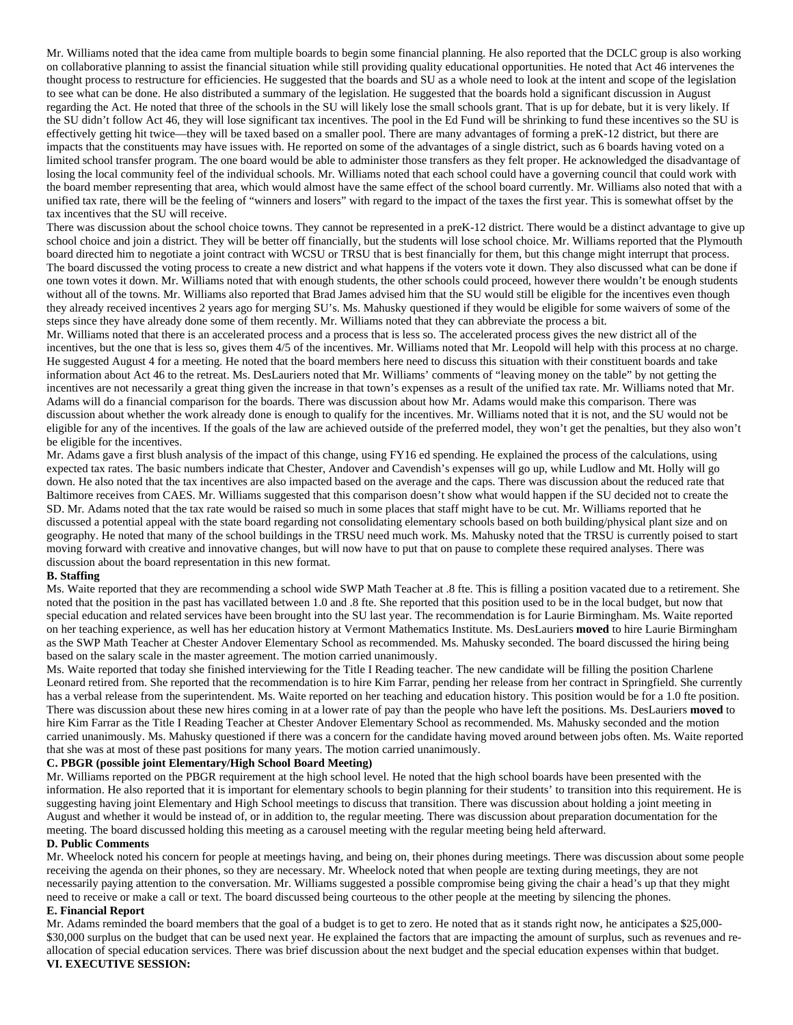Mr. Williams noted that the idea came from multiple boards to begin some financial planning. He also reported that the DCLC group is also working on collaborative planning to assist the financial situation while still providing quality educational opportunities. He noted that Act 46 intervenes the thought process to restructure for efficiencies. He suggested that the boards and SU as a whole need to look at the intent and scope of the legislation to see what can be done. He also distributed a summary of the legislation. He suggested that the boards hold a significant discussion in August regarding the Act. He noted that three of the schools in the SU will likely lose the small schools grant. That is up for debate, but it is very likely. If the SU didn't follow Act 46, they will lose significant tax incentives. The pool in the Ed Fund will be shrinking to fund these incentives so the SU is effectively getting hit twice—they will be taxed based on a smaller pool. There are many advantages of forming a preK-12 district, but there are impacts that the constituents may have issues with. He reported on some of the advantages of a single district, such as 6 boards having voted on a limited school transfer program. The one board would be able to administer those transfers as they felt proper. He acknowledged the disadvantage of losing the local community feel of the individual schools. Mr. Williams noted that each school could have a governing council that could work with the board member representing that area, which would almost have the same effect of the school board currently. Mr. Williams also noted that with a unified tax rate, there will be the feeling of "winners and losers" with regard to the impact of the taxes the first year. This is somewhat offset by the tax incentives that the SU will receive.

There was discussion about the school choice towns. They cannot be represented in a preK-12 district. There would be a distinct advantage to give up school choice and join a district. They will be better off financially, but the students will lose school choice. Mr. Williams reported that the Plymouth board directed him to negotiate a joint contract with WCSU or TRSU that is best financially for them, but this change might interrupt that process. The board discussed the voting process to create a new district and what happens if the voters vote it down. They also discussed what can be done if one town votes it down. Mr. Williams noted that with enough students, the other schools could proceed, however there wouldn't be enough students without all of the towns. Mr. Williams also reported that Brad James advised him that the SU would still be eligible for the incentives even though they already received incentives 2 years ago for merging SU's. Ms. Mahusky questioned if they would be eligible for some waivers of some of the steps since they have already done some of them recently. Mr. Williams noted that they can abbreviate the process a bit.

Mr. Williams noted that there is an accelerated process and a process that is less so. The accelerated process gives the new district all of the incentives, but the one that is less so, gives them 4/5 of the incentives. Mr. Williams noted that Mr. Leopold will help with this process at no charge. He suggested August 4 for a meeting. He noted that the board members here need to discuss this situation with their constituent boards and take information about Act 46 to the retreat. Ms. DesLauriers noted that Mr. Williams' comments of "leaving money on the table" by not getting the incentives are not necessarily a great thing given the increase in that town's expenses as a result of the unified tax rate. Mr. Williams noted that Mr. Adams will do a financial comparison for the boards. There was discussion about how Mr. Adams would make this comparison. There was discussion about whether the work already done is enough to qualify for the incentives. Mr. Williams noted that it is not, and the SU would not be eligible for any of the incentives. If the goals of the law are achieved outside of the preferred model, they won't get the penalties, but they also won't be eligible for the incentives.

Mr. Adams gave a first blush analysis of the impact of this change, using FY16 ed spending. He explained the process of the calculations, using expected tax rates. The basic numbers indicate that Chester, Andover and Cavendish's expenses will go up, while Ludlow and Mt. Holly will go down. He also noted that the tax incentives are also impacted based on the average and the caps. There was discussion about the reduced rate that Baltimore receives from CAES. Mr. Williams suggested that this comparison doesn't show what would happen if the SU decided not to create the SD. Mr. Adams noted that the tax rate would be raised so much in some places that staff might have to be cut. Mr. Williams reported that he discussed a potential appeal with the state board regarding not consolidating elementary schools based on both building/physical plant size and on geography. He noted that many of the school buildings in the TRSU need much work. Ms. Mahusky noted that the TRSU is currently poised to start moving forward with creative and innovative changes, but will now have to put that on pause to complete these required analyses. There was discussion about the board representation in this new format.

#### **B. Staffing**

Ms. Waite reported that they are recommending a school wide SWP Math Teacher at .8 fte. This is filling a position vacated due to a retirement. She noted that the position in the past has vacillated between 1.0 and .8 fte. She reported that this position used to be in the local budget, but now that special education and related services have been brought into the SU last year. The recommendation is for Laurie Birmingham. Ms. Waite reported on her teaching experience, as well has her education history at Vermont Mathematics Institute. Ms. DesLauriers **moved** to hire Laurie Birmingham as the SWP Math Teacher at Chester Andover Elementary School as recommended. Ms. Mahusky seconded. The board discussed the hiring being based on the salary scale in the master agreement. The motion carried unanimously.

Ms. Waite reported that today she finished interviewing for the Title I Reading teacher. The new candidate will be filling the position Charlene Leonard retired from. She reported that the recommendation is to hire Kim Farrar, pending her release from her contract in Springfield. She currently has a verbal release from the superintendent. Ms. Waite reported on her teaching and education history. This position would be for a 1.0 fte position. There was discussion about these new hires coming in at a lower rate of pay than the people who have left the positions. Ms. DesLauriers **moved** to hire Kim Farrar as the Title I Reading Teacher at Chester Andover Elementary School as recommended. Ms. Mahusky seconded and the motion carried unanimously. Ms. Mahusky questioned if there was a concern for the candidate having moved around between jobs often. Ms. Waite reported that she was at most of these past positions for many years. The motion carried unanimously.

#### **C. PBGR (possible joint Elementary/High School Board Meeting)**

Mr. Williams reported on the PBGR requirement at the high school level. He noted that the high school boards have been presented with the information. He also reported that it is important for elementary schools to begin planning for their students' to transition into this requirement. He is suggesting having joint Elementary and High School meetings to discuss that transition. There was discussion about holding a joint meeting in August and whether it would be instead of, or in addition to, the regular meeting. There was discussion about preparation documentation for the meeting. The board discussed holding this meeting as a carousel meeting with the regular meeting being held afterward.

#### **D. Public Comments**

Mr. Wheelock noted his concern for people at meetings having, and being on, their phones during meetings. There was discussion about some people receiving the agenda on their phones, so they are necessary. Mr. Wheelock noted that when people are texting during meetings, they are not necessarily paying attention to the conversation. Mr. Williams suggested a possible compromise being giving the chair a head's up that they might need to receive or make a call or text. The board discussed being courteous to the other people at the meeting by silencing the phones.

#### **E. Financial Report**

Mr. Adams reminded the board members that the goal of a budget is to get to zero. He noted that as it stands right now, he anticipates a \$25,000- \$30,000 surplus on the budget that can be used next year. He explained the factors that are impacting the amount of surplus, such as revenues and reallocation of special education services. There was brief discussion about the next budget and the special education expenses within that budget. **VI. EXECUTIVE SESSION:**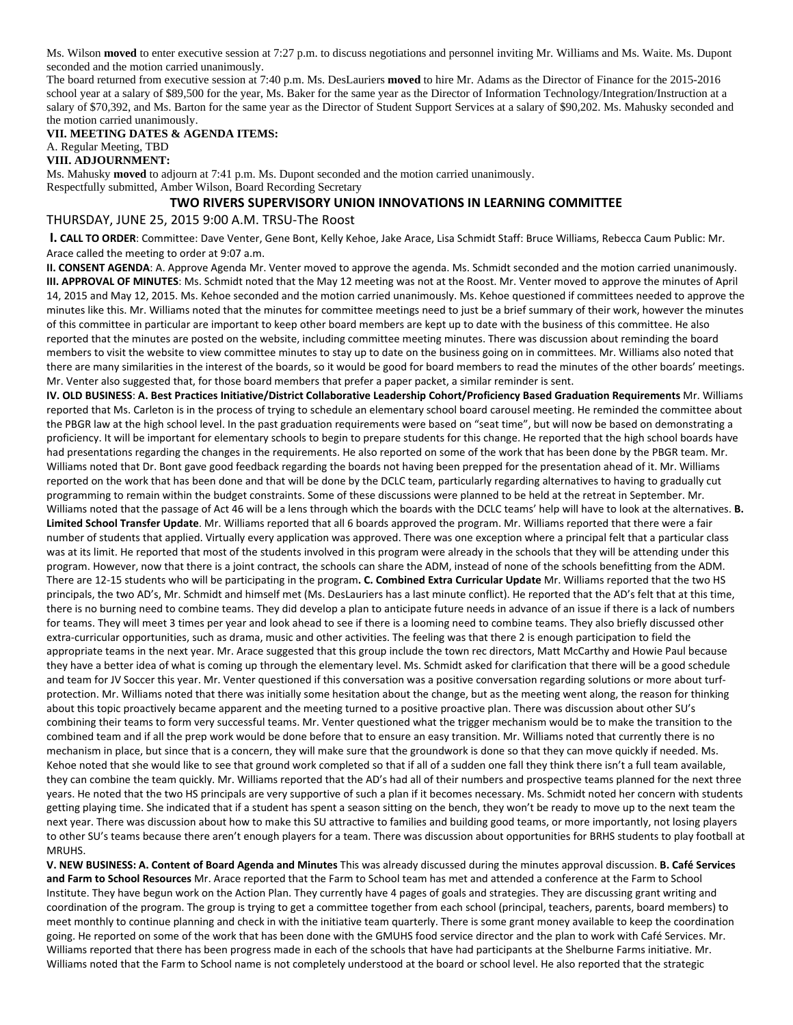Ms. Wilson **moved** to enter executive session at 7:27 p.m. to discuss negotiations and personnel inviting Mr. Williams and Ms. Waite. Ms. Dupont seconded and the motion carried unanimously.

The board returned from executive session at 7:40 p.m. Ms. DesLauriers **moved** to hire Mr. Adams as the Director of Finance for the 2015-2016 school year at a salary of \$89,500 for the year, Ms. Baker for the same year as the Director of Information Technology/Integration/Instruction at a salary of \$70,392, and Ms. Barton for the same year as the Director of Student Support Services at a salary of \$90,202. Ms. Mahusky seconded and the motion carried unanimously.

## **VII. MEETING DATES & AGENDA ITEMS:**

A. Regular Meeting, TBD

**VIII. ADJOURNMENT:** 

Ms. Mahusky **moved** to adjourn at 7:41 p.m. Ms. Dupont seconded and the motion carried unanimously. Respectfully submitted, Amber Wilson, Board Recording Secretary

## **TWO RIVERS SUPERVISORY UNION INNOVATIONS IN LEARNING COMMITTEE**

## THURSDAY, JUNE 25, 2015 9:00 A.M. TRSU‐The Roost

**I. CALL TO ORDER**: Committee: Dave Venter, Gene Bont, Kelly Kehoe, Jake Arace, Lisa Schmidt Staff: Bruce Williams, Rebecca Caum Public: Mr. Arace called the meeting to order at 9:07 a.m.

**II. CONSENT AGENDA**: A. Approve Agenda Mr. Venter moved to approve the agenda. Ms. Schmidt seconded and the motion carried unanimously. **III. APPROVAL OF MINUTES**: Ms. Schmidt noted that the May 12 meeting was not at the Roost. Mr. Venter moved to approve the minutes of April 14, 2015 and May 12, 2015. Ms. Kehoe seconded and the motion carried unanimously. Ms. Kehoe questioned if committees needed to approve the minutes like this. Mr. Williams noted that the minutes for committee meetings need to just be a brief summary of their work, however the minutes of this committee in particular are important to keep other board members are kept up to date with the business of this committee. He also reported that the minutes are posted on the website, including committee meeting minutes. There was discussion about reminding the board members to visit the website to view committee minutes to stay up to date on the business going on in committees. Mr. Williams also noted that there are many similarities in the interest of the boards, so it would be good for board members to read the minutes of the other boards' meetings. Mr. Venter also suggested that, for those board members that prefer a paper packet, a similar reminder is sent.

IV. OLD BUSINESS: A. Best Practices Initiative/District Collaborative Leadership Cohort/Proficiency Based Graduation Requirements Mr. Williams reported that Ms. Carleton is in the process of trying to schedule an elementary school board carousel meeting. He reminded the committee about the PBGR law at the high school level. In the past graduation requirements were based on "seat time", but will now be based on demonstrating a proficiency. It will be important for elementary schools to begin to prepare students for this change. He reported that the high school boards have had presentations regarding the changes in the requirements. He also reported on some of the work that has been done by the PBGR team. Mr. Williams noted that Dr. Bont gave good feedback regarding the boards not having been prepped for the presentation ahead of it. Mr. Williams reported on the work that has been done and that will be done by the DCLC team, particularly regarding alternatives to having to gradually cut programming to remain within the budget constraints. Some of these discussions were planned to be held at the retreat in September. Mr. Williams noted that the passage of Act 46 will be a lens through which the boards with the DCLC teams' help will have to look at the alternatives. **B. Limited School Transfer Update**. Mr. Williams reported that all 6 boards approved the program. Mr. Williams reported that there were a fair number of students that applied. Virtually every application was approved. There was one exception where a principal felt that a particular class was at its limit. He reported that most of the students involved in this program were already in the schools that they will be attending under this program. However, now that there is a joint contract, the schools can share the ADM, instead of none of the schools benefitting from the ADM. There are 12‐15 students who will be participating in the program**. C. Combined Extra Curricular Update** Mr. Williams reported that the two HS principals, the two AD's, Mr. Schmidt and himself met (Ms. DesLauriers has a last minute conflict). He reported that the AD's felt that at this time, there is no burning need to combine teams. They did develop a plan to anticipate future needs in advance of an issue if there is a lack of numbers for teams. They will meet 3 times per year and look ahead to see if there is a looming need to combine teams. They also briefly discussed other extra-curricular opportunities, such as drama, music and other activities. The feeling was that there 2 is enough participation to field the appropriate teams in the next year. Mr. Arace suggested that this group include the town rec directors, Matt McCarthy and Howie Paul because they have a better idea of what is coming up through the elementary level. Ms. Schmidt asked for clarification that there will be a good schedule and team for JV Soccer this year. Mr. Venter questioned if this conversation was a positive conversation regarding solutions or more about turfprotection. Mr. Williams noted that there was initially some hesitation about the change, but as the meeting went along, the reason for thinking about this topic proactively became apparent and the meeting turned to a positive proactive plan. There was discussion about other SU's combining their teams to form very successful teams. Mr. Venter questioned what the trigger mechanism would be to make the transition to the combined team and if all the prep work would be done before that to ensure an easy transition. Mr. Williams noted that currently there is no mechanism in place, but since that is a concern, they will make sure that the groundwork is done so that they can move quickly if needed. Ms. Kehoe noted that she would like to see that ground work completed so that if all of a sudden one fall they think there isn't a full team available, they can combine the team quickly. Mr. Williams reported that the AD's had all of their numbers and prospective teams planned for the next three years. He noted that the two HS principals are very supportive of such a plan if it becomes necessary. Ms. Schmidt noted her concern with students getting playing time. She indicated that if a student has spent a season sitting on the bench, they won't be ready to move up to the next team the next year. There was discussion about how to make this SU attractive to families and building good teams, or more importantly, not losing players to other SU's teams because there aren't enough players for a team. There was discussion about opportunities for BRHS students to play football at MRUHS.

V. NEW BUSINESS: A. Content of Board Agenda and Minutes This was already discussed during the minutes approval discussion. B. Café Services **and Farm to School Resources** Mr. Arace reported that the Farm to School team has met and attended a conference at the Farm to School Institute. They have begun work on the Action Plan. They currently have 4 pages of goals and strategies. They are discussing grant writing and coordination of the program. The group is trying to get a committee together from each school (principal, teachers, parents, board members) to meet monthly to continue planning and check in with the initiative team quarterly. There is some grant money available to keep the coordination going. He reported on some of the work that has been done with the GMUHS food service director and the plan to work with Café Services. Mr. Williams reported that there has been progress made in each of the schools that have had participants at the Shelburne Farms initiative. Mr. Williams noted that the Farm to School name is not completely understood at the board or school level. He also reported that the strategic